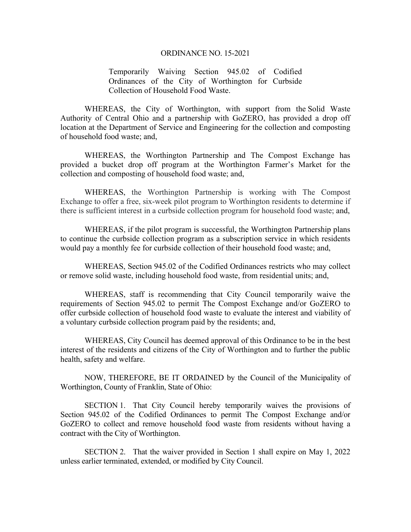## ORDINANCE NO. 15-2021

Temporarily Waiving Section 945.02 of Codified Ordinances of the City of Worthington for Curbside Collection of Household Food Waste.

WHEREAS, the City of Worthington, with support from the Solid Waste Authority of Central Ohio and a partnership with GoZERO, has provided a drop off location at the Department of Service and Engineering for the collection and composting of household food waste; and,

WHEREAS, the Worthington Partnership and The Compost Exchange has provided a bucket drop off program at the Worthington Farmer's Market for the collection and composting of household food waste; and,

WHEREAS, the Worthington Partnership is working with The Compost Exchange to offer a free, six-week pilot program to Worthington residents to determine if there is sufficient interest in a curbside collection program for household food waste; and,

WHEREAS, if the pilot program is successful, the Worthington Partnership plans to continue the curbside collection program as a subscription service in which residents would pay a monthly fee for curbside collection of their household food waste; and,

WHEREAS, Section 945.02 of the Codified Ordinances restricts who may collect or remove solid waste, including household food waste, from residential units; and,

WHEREAS, staff is recommending that City Council temporarily waive the requirements of Section 945.02 to permit The Compost Exchange and/or GoZERO to offer curbside collection of household food waste to evaluate the interest and viability of a voluntary curbside collection program paid by the residents; and,

WHEREAS, City Council has deemed approval of this Ordinance to be in the best interest of the residents and citizens of the City of Worthington and to further the public health, safety and welfare.

NOW, THEREFORE, BE IT ORDAINED by the Council of the Municipality of Worthington, County of Franklin, State of Ohio:

SECTION 1. That City Council hereby temporarily waives the provisions of Section 945.02 of the Codified Ordinances to permit The Compost Exchange and/or GoZERO to collect and remove household food waste from residents without having a contract with the City of Worthington.

 SECTION 2. That the waiver provided in Section 1 shall expire on May 1, 2022 unless earlier terminated, extended, or modified by City Council.